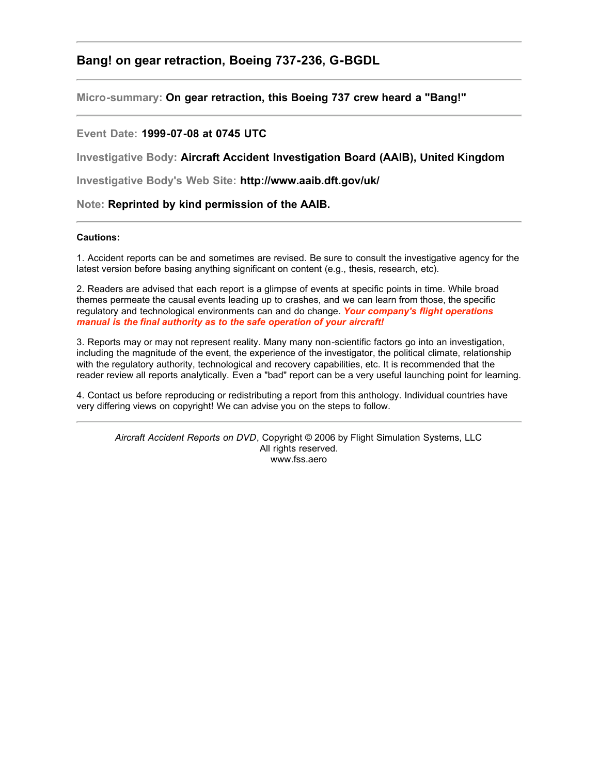## **Bang! on gear retraction, Boeing 737-236, G-BGDL**

**Micro-summary: On gear retraction, this Boeing 737 crew heard a "Bang!"**

## **Event Date: 1999-07-08 at 0745 UTC**

**Investigative Body: Aircraft Accident Investigation Board (AAIB), United Kingdom**

**Investigative Body's Web Site: http://www.aaib.dft.gov/uk/**

**Note: Reprinted by kind permission of the AAIB.**

## **Cautions:**

1. Accident reports can be and sometimes are revised. Be sure to consult the investigative agency for the latest version before basing anything significant on content (e.g., thesis, research, etc).

2. Readers are advised that each report is a glimpse of events at specific points in time. While broad themes permeate the causal events leading up to crashes, and we can learn from those, the specific regulatory and technological environments can and do change. *Your company's flight operations manual is the final authority as to the safe operation of your aircraft!*

3. Reports may or may not represent reality. Many many non-scientific factors go into an investigation, including the magnitude of the event, the experience of the investigator, the political climate, relationship with the regulatory authority, technological and recovery capabilities, etc. It is recommended that the reader review all reports analytically. Even a "bad" report can be a very useful launching point for learning.

4. Contact us before reproducing or redistributing a report from this anthology. Individual countries have very differing views on copyright! We can advise you on the steps to follow.

*Aircraft Accident Reports on DVD*, Copyright © 2006 by Flight Simulation Systems, LLC All rights reserved. www.fss.aero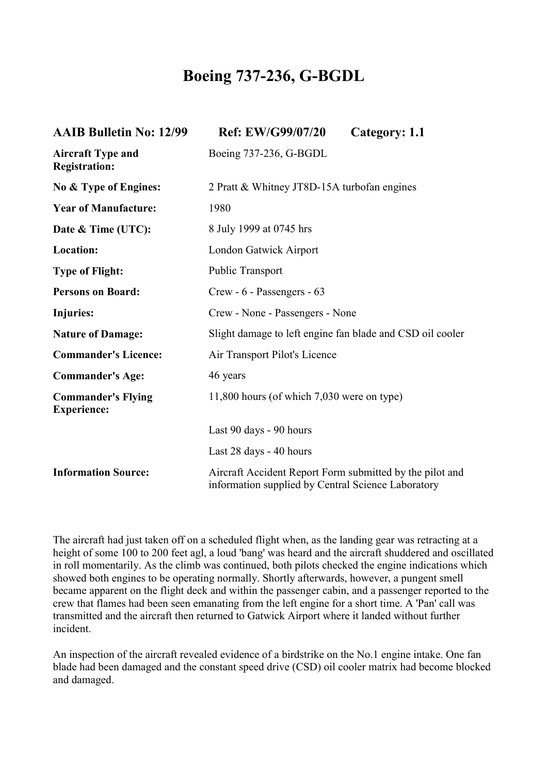## **Boeing 737-236, G-BGDL**

| <b>AAIB Bulletin No: 12/99</b>                   | Ref: EW/G99/07/20                                                                                              | Category: 1.1 |
|--------------------------------------------------|----------------------------------------------------------------------------------------------------------------|---------------|
| <b>Aircraft Type and</b><br><b>Registration:</b> | Boeing 737-236, G-BGDL                                                                                         |               |
| No & Type of Engines:                            | 2 Pratt & Whitney JT8D-15A turbofan engines                                                                    |               |
| <b>Year of Manufacture:</b>                      | 1980                                                                                                           |               |
| Date & Time (UTC):                               | 8 July 1999 at 0745 hrs                                                                                        |               |
| <b>Location:</b>                                 | London Gatwick Airport                                                                                         |               |
| <b>Type of Flight:</b>                           | <b>Public Transport</b>                                                                                        |               |
| <b>Persons on Board:</b>                         | Crew - 6 - Passengers - 63                                                                                     |               |
| Injuries:                                        | Crew - None - Passengers - None                                                                                |               |
| <b>Nature of Damage:</b>                         | Slight damage to left engine fan blade and CSD oil cooler                                                      |               |
| <b>Commander's Licence:</b>                      | Air Transport Pilot's Licence                                                                                  |               |
| <b>Commander's Age:</b>                          | 46 years                                                                                                       |               |
| <b>Commander's Flying</b><br><b>Experience:</b>  | $11,800$ hours (of which $7,030$ were on type)                                                                 |               |
|                                                  | Last 90 days - 90 hours                                                                                        |               |
|                                                  | Last 28 days - 40 hours                                                                                        |               |
| <b>Information Source:</b>                       | Aircraft Accident Report Form submitted by the pilot and<br>information supplied by Central Science Laboratory |               |

The aircraft had just taken off on a scheduled flight when, as the landing gear was retracting at a height of some 100 to 200 feet agl, a loud 'bang' was heard and the aircraft shuddered and oscillated in roll momentarily. As the climb was continued, both pilots checked the engine indications which showed both engines to be operating normally. Shortly afterwards, however, a pungent smell became apparent on the flight deck and within the passenger cabin, and a passenger reported to the crew that flames had been seen emanating from the left engine for a short time. A 'Pan' call was transmitted and the aircraft then returned to Gatwick Airport where it landed without further incident.

An inspection of the aircraft revealed evidence of a birdstrike on the No.1 engine intake. One fan blade had been damaged and the constant speed drive (CSD) oil cooler matrix had become blocked and damaged.